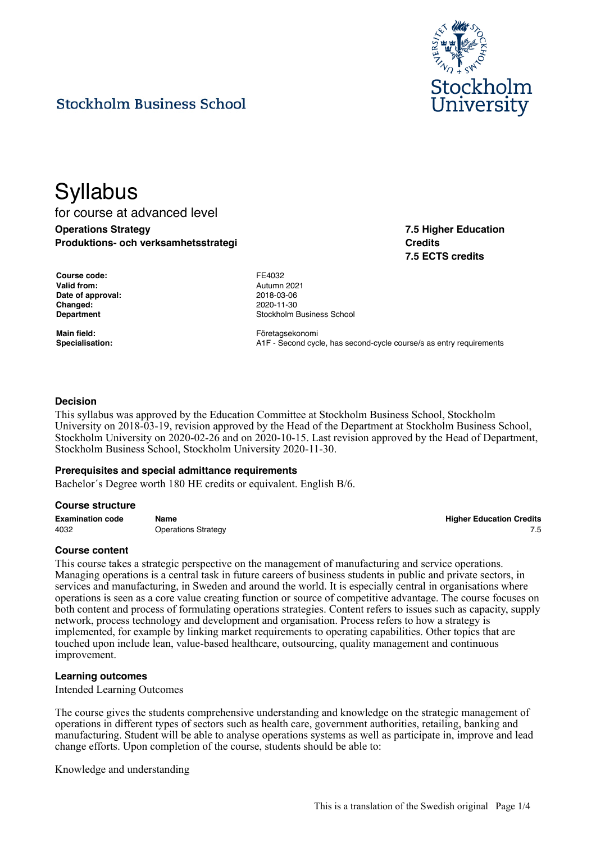

**7.5 Higher Education**

**7.5 ECTS credits**

**Credits**

## **Stockholm Business School**

# **Syllabus** for course at advanced level

**Operations Strategy Produktions- och verksamhetsstrategi**

**Course code:** FE4032 **Valid from:** Autumn 2021<br> **Date of approval:** 2018-03-06 **Date of approval: Changed:** 2020-11-30

**Department Constanting Constanting Constanting Constanting Constanting Constanting Constanting Constanting Constanting Constanting Constanting Constanting Constanting Constanting Constanting Constanting Constanting Cons** 

Main field: **Main field: Företagsekonomi Specialisation:** A1F - Second cycle, has second-cycle course/s as entry requirements

#### **Decision**

This syllabus was approved by the Education Committee at Stockholm Business School, Stockholm University on 2018-03-19, revision approved by the Head of the Department at Stockholm Business School, Stockholm University on 2020-02-26 and on 2020-10-15. Last revision approved by the Head of Department, Stockholm Business School, Stockholm University 2020-11-30.

#### **Prerequisites and special admittance requirements**

Bachelor´s Degree worth 180 HE credits or equivalent. English B/6.

#### **Course structure**

| <b>Examination code</b> | Name                       | <b>Higher Education Credits</b> |
|-------------------------|----------------------------|---------------------------------|
| 4032                    | <b>Operations Strategy</b> |                                 |

#### **Course content**

This course takes a strategic perspective on the management of manufacturing and service operations. Managing operations is a central task in future careers of business students in public and private sectors, in services and manufacturing, in Sweden and around the world. It is especially central in organisations where operations is seen as a core value creating function or source of competitive advantage. The course focuses on both content and process of formulating operations strategies. Content refers to issues such as capacity, supply network, process technology and development and organisation. Process refers to how a strategy is implemented, for example by linking market requirements to operating capabilities. Other topics that are touched upon include lean, value-based healthcare, outsourcing, quality management and continuous improvement.

#### **Learning outcomes**

Intended Learning Outcomes

The course gives the students comprehensive understanding and knowledge on the strategic management of operations in different types of sectors such as health care, government authorities, retailing, banking and manufacturing. Student will be able to analyse operations systems as well as participate in, improve and lead change efforts. Upon completion of the course, students should be able to:

Knowledge and understanding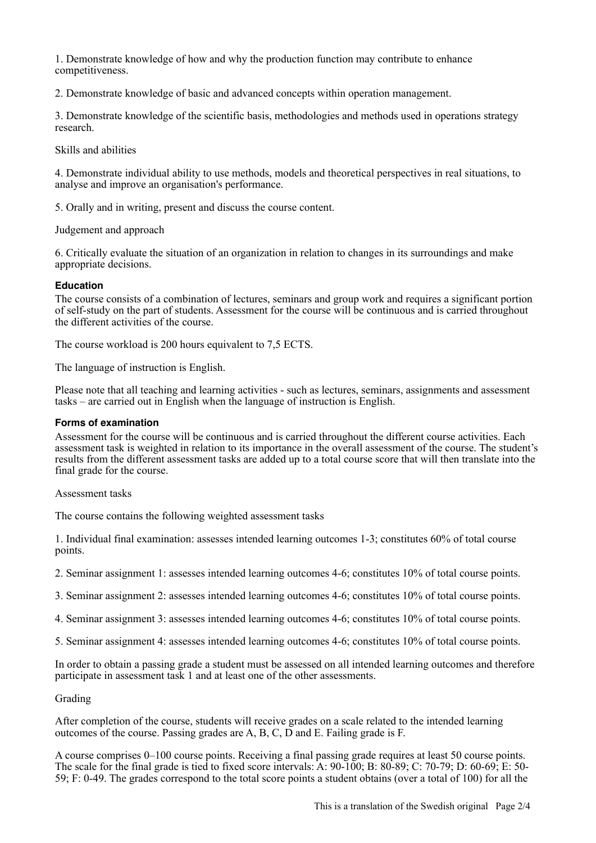1. Demonstrate knowledge of how and why the production function may contribute to enhance competitiveness.

2. Demonstrate knowledge of basic and advanced concepts within operation management.

3. Demonstrate knowledge of the scientific basis, methodologies and methods used in operations strategy research.

Skills and abilities

4. Demonstrate individual ability to use methods, models and theoretical perspectives in real situations, to analyse and improve an organisation's performance.

5. Orally and in writing, present and discuss the course content.

Judgement and approach

6. Critically evaluate the situation of an organization in relation to changes in its surroundings and make appropriate decisions.

### **Education**

The course consists of a combination of lectures, seminars and group work and requires a significant portion of self-study on the part of students. Assessment for the course will be continuous and is carried throughout the different activities of the course.

The course workload is 200 hours equivalent to 7,5 ECTS.

The language of instruction is English.

Please note that all teaching and learning activities - such as lectures, seminars, assignments and assessment tasks – are carried out in English when the language of instruction is English.

#### **Forms of examination**

Assessment for the course will be continuous and is carried throughout the different course activities. Each assessment task is weighted in relation to its importance in the overall assessment of the course. The student's results from the different assessment tasks are added up to a total course score that will then translate into the final grade for the course.

Assessment tasks

The course contains the following weighted assessment tasks

1. Individual final examination: assesses intended learning outcomes 1-3; constitutes 60% of total course points.

2. Seminar assignment 1: assesses intended learning outcomes 4-6; constitutes 10% of total course points.

3. Seminar assignment 2: assesses intended learning outcomes 4-6; constitutes 10% of total course points.

4. Seminar assignment 3: assesses intended learning outcomes 4-6; constitutes 10% of total course points.

5. Seminar assignment 4: assesses intended learning outcomes 4-6; constitutes 10% of total course points.

In order to obtain a passing grade a student must be assessed on all intended learning outcomes and therefore participate in assessment task 1 and at least one of the other assessments.

Grading

After completion of the course, students will receive grades on a scale related to the intended learning outcomes of the course. Passing grades are A, B, C, D and E. Failing grade is F.

A course comprises 0–100 course points. Receiving a final passing grade requires at least 50 course points. The scale for the final grade is tied to fixed score intervals: A: 90-100; B: 80-89; C: 70-79; D: 60-69; E: 50- 59; F: 0-49. The grades correspond to the total score points a student obtains (over a total of 100) for all the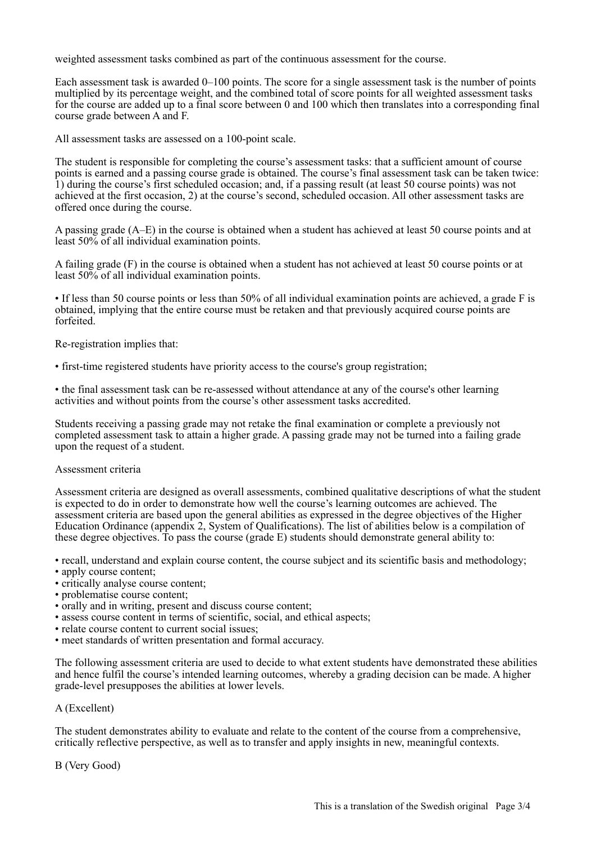weighted assessment tasks combined as part of the continuous assessment for the course.

Each assessment task is awarded 0–100 points. The score for a single assessment task is the number of points multiplied by its percentage weight, and the combined total of score points for all weighted assessment tasks for the course are added up to a final score between 0 and 100 which then translates into a corresponding final course grade between A and F.

All assessment tasks are assessed on a 100-point scale.

The student is responsible for completing the course's assessment tasks: that a sufficient amount of course points is earned and a passing course grade is obtained. The course's final assessment task can be taken twice: 1) during the course's first scheduled occasion; and, if a passing result (at least 50 course points) was not achieved at the first occasion, 2) at the course's second, scheduled occasion. All other assessment tasks are offered once during the course.

A passing grade (A–E) in the course is obtained when a student has achieved at least 50 course points and at least 50% of all individual examination points.

A failing grade (F) in the course is obtained when a student has not achieved at least 50 course points or at least 50% of all individual examination points.

• If less than 50 course points or less than 50% of all individual examination points are achieved, a grade F is obtained, implying that the entire course must be retaken and that previously acquired course points are forfeited.

Re-registration implies that:

• first-time registered students have priority access to the course's group registration;

• the final assessment task can be re-assessed without attendance at any of the course's other learning activities and without points from the course's other assessment tasks accredited.

Students receiving a passing grade may not retake the final examination or complete a previously not completed assessment task to attain a higher grade. A passing grade may not be turned into a failing grade upon the request of a student.

#### Assessment criteria

Assessment criteria are designed as overall assessments, combined qualitative descriptions of what the student is expected to do in order to demonstrate how well the course's learning outcomes are achieved. The assessment criteria are based upon the general abilities as expressed in the degree objectives of the Higher Education Ordinance (appendix 2, System of Qualifications). The list of abilities below is a compilation of these degree objectives. To pass the course (grade E) students should demonstrate general ability to:

• recall, understand and explain course content, the course subject and its scientific basis and methodology;

- apply course content;
- critically analyse course content;
- problematise course content;
- orally and in writing, present and discuss course content;
- assess course content in terms of scientific, social, and ethical aspects;
- relate course content to current social issues;
- meet standards of written presentation and formal accuracy.

The following assessment criteria are used to decide to what extent students have demonstrated these abilities and hence fulfil the course's intended learning outcomes, whereby a grading decision can be made. A higher grade-level presupposes the abilities at lower levels.

## A (Excellent)

The student demonstrates ability to evaluate and relate to the content of the course from a comprehensive, critically reflective perspective, as well as to transfer and apply insights in new, meaningful contexts.

B (Very Good)